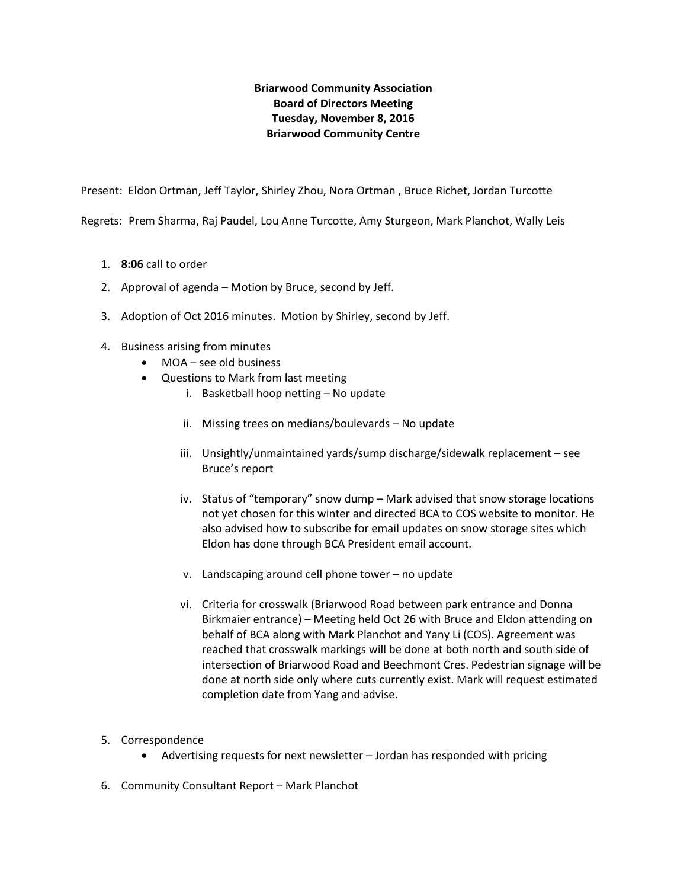# **Briarwood Community Association Board of Directors Meeting Tuesday, November 8, 2016 Briarwood Community Centre**

Present: Eldon Ortman, Jeff Taylor, Shirley Zhou, Nora Ortman , Bruce Richet, Jordan Turcotte

Regrets: Prem Sharma, Raj Paudel, Lou Anne Turcotte, Amy Sturgeon, Mark Planchot, Wally Leis

- 1. **8:06** call to order
- 2. Approval of agenda Motion by Bruce, second by Jeff.
- 3. Adoption of Oct 2016 minutes. Motion by Shirley, second by Jeff.
- 4. Business arising from minutes
	- MOA see old business
	- Questions to Mark from last meeting
		- i. Basketball hoop netting No update
		- ii. Missing trees on medians/boulevards No update
		- iii. Unsightly/unmaintained yards/sump discharge/sidewalk replacement see Bruce's report
		- iv. Status of "temporary" snow dump Mark advised that snow storage locations not yet chosen for this winter and directed BCA to COS website to monitor. He also advised how to subscribe for email updates on snow storage sites which Eldon has done through BCA President email account.
		- v. Landscaping around cell phone tower no update
		- vi. Criteria for crosswalk (Briarwood Road between park entrance and Donna Birkmaier entrance) – Meeting held Oct 26 with Bruce and Eldon attending on behalf of BCA along with Mark Planchot and Yany Li (COS). Agreement was reached that crosswalk markings will be done at both north and south side of intersection of Briarwood Road and Beechmont Cres. Pedestrian signage will be done at north side only where cuts currently exist. Mark will request estimated completion date from Yang and advise.
- 5. Correspondence
	- Advertising requests for next newsletter Jordan has responded with pricing
- 6. Community Consultant Report Mark Planchot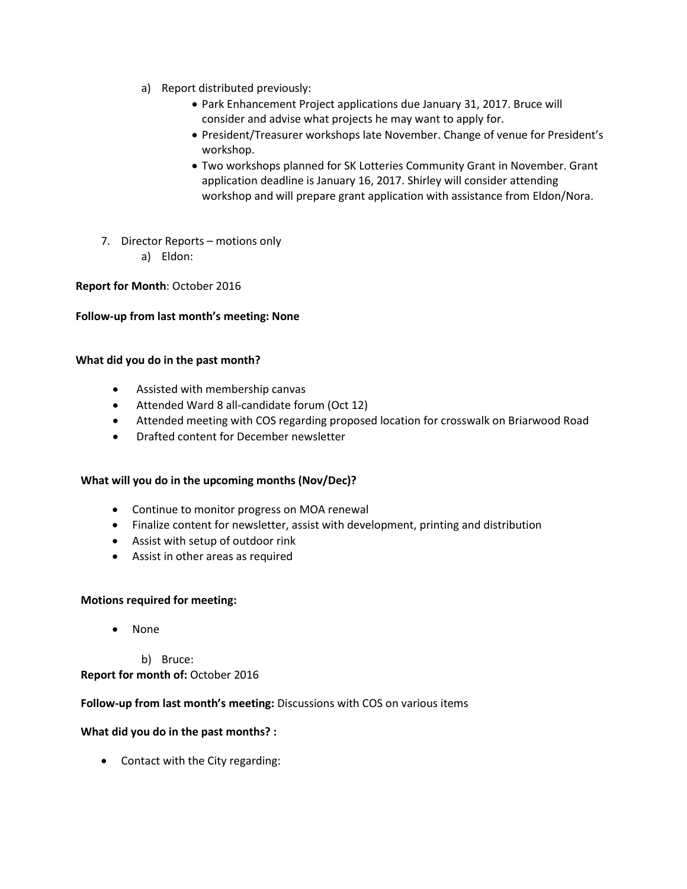- a) Report distributed previously:
	- Park Enhancement Project applications due January 31, 2017. Bruce will consider and advise what projects he may want to apply for.
	- President/Treasurer workshops late November. Change of venue for President's workshop.
	- Two workshops planned for SK Lotteries Community Grant in November. Grant application deadline is January 16, 2017. Shirley will consider attending workshop and will prepare grant application with assistance from Eldon/Nora.
- 7. Director Reports motions only a) Eldon:

## **Report for Month**: October 2016

## **Follow-up from last month's meeting: None**

## **What did you do in the past month?**

- Assisted with membership canvas
- Attended Ward 8 all-candidate forum (Oct 12)
- Attended meeting with COS regarding proposed location for crosswalk on Briarwood Road
- Drafted content for December newsletter

## **What will you do in the upcoming months (Nov/Dec)?**

- Continue to monitor progress on MOA renewal
- Finalize content for newsletter, assist with development, printing and distribution
- Assist with setup of outdoor rink
- Assist in other areas as required

#### **Motions required for meeting:**

- None
	- b) Bruce:

**Report for month of:** October 2016

## **Follow-up from last month's meeting:** Discussions with COS on various items

## **What did you do in the past months? :**

• Contact with the City regarding: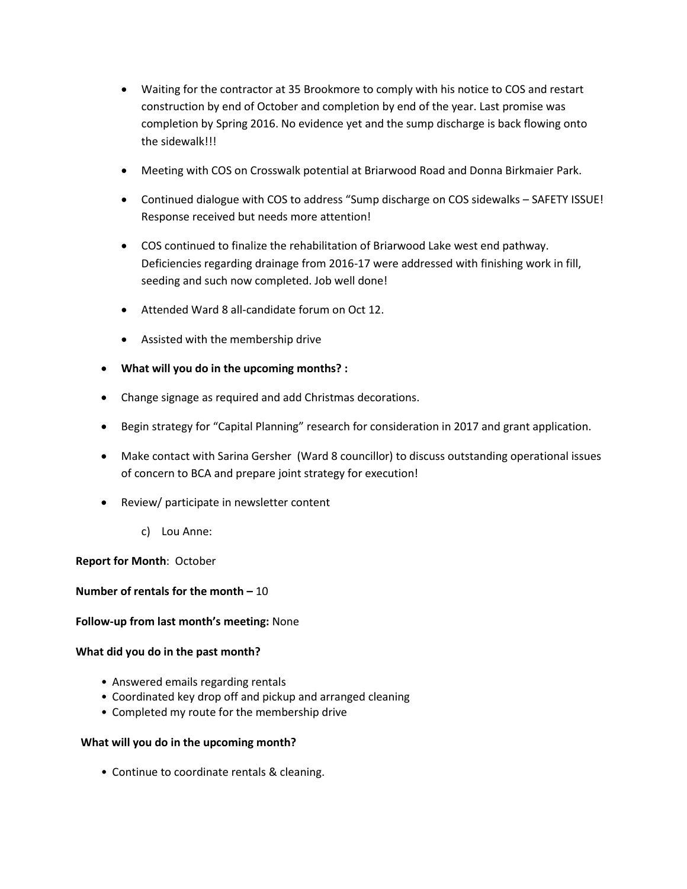- Waiting for the contractor at 35 Brookmore to comply with his notice to COS and restart construction by end of October and completion by end of the year. Last promise was completion by Spring 2016. No evidence yet and the sump discharge is back flowing onto the sidewalk!!!
- Meeting with COS on Crosswalk potential at Briarwood Road and Donna Birkmaier Park.
- Continued dialogue with COS to address "Sump discharge on COS sidewalks SAFETY ISSUE! Response received but needs more attention!
- COS continued to finalize the rehabilitation of Briarwood Lake west end pathway. Deficiencies regarding drainage from 2016-17 were addressed with finishing work in fill, seeding and such now completed. Job well done!
- Attended Ward 8 all-candidate forum on Oct 12.
- Assisted with the membership drive
- **What will you do in the upcoming months? :**
- Change signage as required and add Christmas decorations.
- Begin strategy for "Capital Planning" research for consideration in 2017 and grant application.
- Make contact with Sarina Gersher (Ward 8 councillor) to discuss outstanding operational issues of concern to BCA and prepare joint strategy for execution!
- Review/ participate in newsletter content
	- c) Lou Anne:

**Report for Month**: October

**Number of rentals for the month –** 10

#### **Follow-up from last month's meeting:** None

#### **What did you do in the past month?**

- Answered emails regarding rentals
- Coordinated key drop off and pickup and arranged cleaning
- Completed my route for the membership drive

## **What will you do in the upcoming month?**

• Continue to coordinate rentals & cleaning.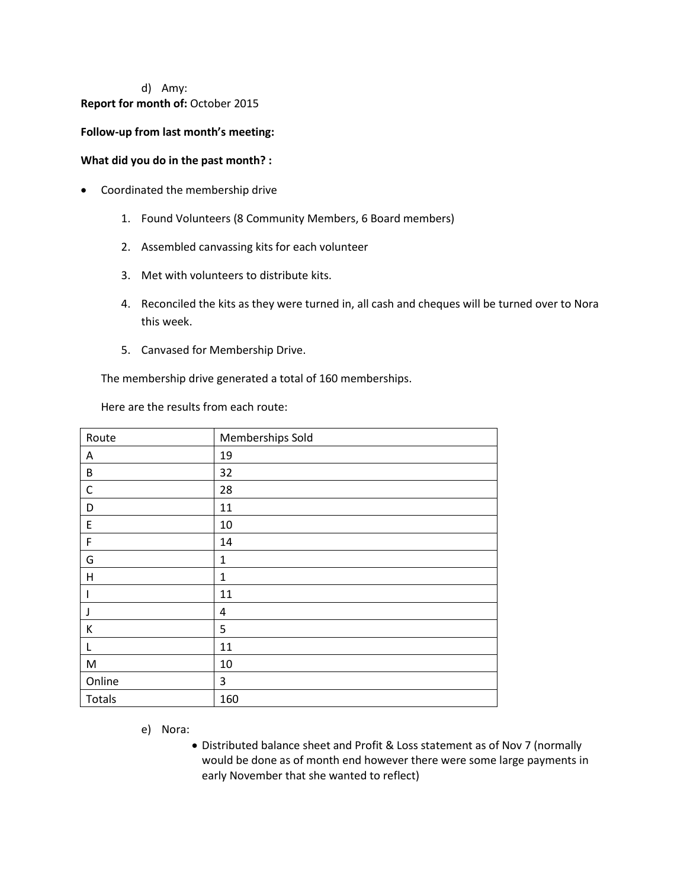# d) Amy: **Report for month of:** October 2015

## **Follow-up from last month's meeting:**

#### **What did you do in the past month? :**

- Coordinated the membership drive
	- 1. Found Volunteers (8 Community Members, 6 Board members)
	- 2. Assembled canvassing kits for each volunteer
	- 3. Met with volunteers to distribute kits.
	- 4. Reconciled the kits as they were turned in, all cash and cheques will be turned over to Nora this week.
	- 5. Canvased for Membership Drive.

The membership drive generated a total of 160 memberships.

Here are the results from each route:

| Route        | Memberships Sold |
|--------------|------------------|
| Α            | 19               |
| B            | 32               |
| $\mathsf{C}$ | 28               |
| D            | 11               |
| E            | 10               |
| F            | 14               |
| G            | $\mathbf{1}$     |
| Н            | $\mathbf{1}$     |
| ı            | 11               |
| J            | 4                |
| К            | 5                |
| L            | 11               |
| M            | 10               |
| Online       | 3                |
| Totals       | 160              |

e) Nora:

 Distributed balance sheet and Profit & Loss statement as of Nov 7 (normally would be done as of month end however there were some large payments in early November that she wanted to reflect)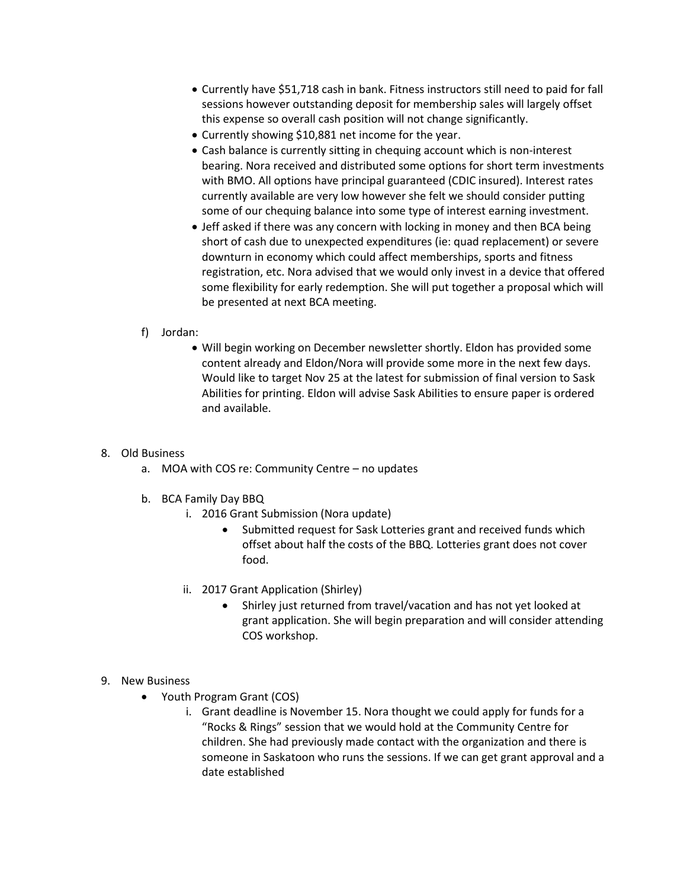- Currently have \$51,718 cash in bank. Fitness instructors still need to paid for fall sessions however outstanding deposit for membership sales will largely offset this expense so overall cash position will not change significantly.
- Currently showing \$10,881 net income for the year.
- Cash balance is currently sitting in chequing account which is non-interest bearing. Nora received and distributed some options for short term investments with BMO. All options have principal guaranteed (CDIC insured). Interest rates currently available are very low however she felt we should consider putting some of our chequing balance into some type of interest earning investment.
- Jeff asked if there was any concern with locking in money and then BCA being short of cash due to unexpected expenditures (ie: quad replacement) or severe downturn in economy which could affect memberships, sports and fitness registration, etc. Nora advised that we would only invest in a device that offered some flexibility for early redemption. She will put together a proposal which will be presented at next BCA meeting.

## f) Jordan:

 Will begin working on December newsletter shortly. Eldon has provided some content already and Eldon/Nora will provide some more in the next few days. Would like to target Nov 25 at the latest for submission of final version to Sask Abilities for printing. Eldon will advise Sask Abilities to ensure paper is ordered and available.

## 8. Old Business

- a. MOA with COS re: Community Centre no updates
- b. BCA Family Day BBQ
	- i. 2016 Grant Submission (Nora update)
		- Submitted request for Sask Lotteries grant and received funds which offset about half the costs of the BBQ. Lotteries grant does not cover food.
	- ii. 2017 Grant Application (Shirley)
		- Shirley just returned from travel/vacation and has not yet looked at grant application. She will begin preparation and will consider attending COS workshop.

## 9. New Business

- Youth Program Grant (COS)
	- i. Grant deadline is November 15. Nora thought we could apply for funds for a "Rocks & Rings" session that we would hold at the Community Centre for children. She had previously made contact with the organization and there is someone in Saskatoon who runs the sessions. If we can get grant approval and a date established